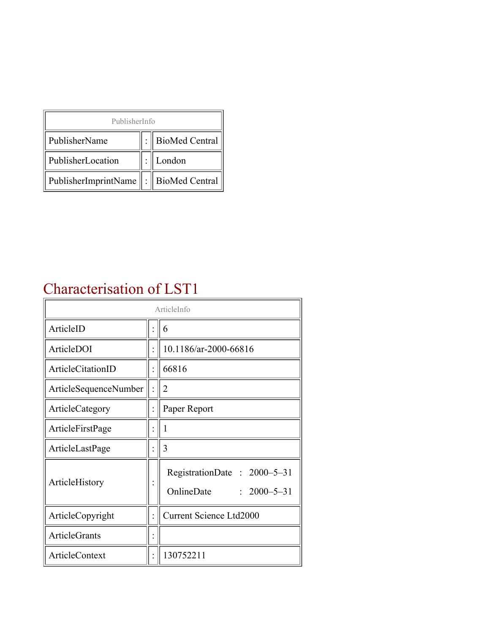| PublisherInfo                               |  |                |  |  |
|---------------------------------------------|--|----------------|--|--|
| PublisherName                               |  | BioMed Central |  |  |
| PublisherLocation                           |  | London         |  |  |
| PublisherImprintName    :    BioMed Central |  |                |  |  |

### Characterisation of LST1

| ArticleInfo           |  |                                                                |
|-----------------------|--|----------------------------------------------------------------|
| ArticleID             |  | 6                                                              |
| ArticleDOI            |  | 10.1186/ar-2000-66816                                          |
| ArticleCitationID     |  | 66816                                                          |
| ArticleSequenceNumber |  | 2                                                              |
| ArticleCategory       |  | Paper Report                                                   |
| ArticleFirstPage      |  |                                                                |
| ArticleLastPage       |  | 3                                                              |
| ArticleHistory        |  | RegistrationDate: 2000–5–31<br>OnlineDate<br>$: 2000 - 5 - 31$ |
| ArticleCopyright      |  | <b>Current Science Ltd2000</b>                                 |
| <b>ArticleGrants</b>  |  |                                                                |
| ArticleContext        |  | 130752211                                                      |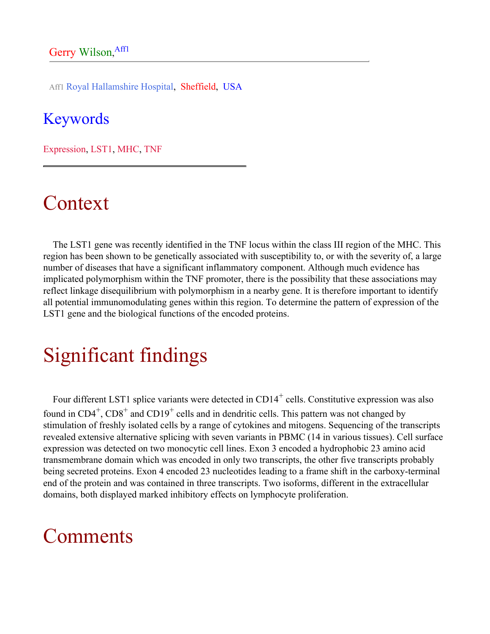Aff1 Royal Hallamshire Hospital, Sheffield, USA

#### Keywords

Expression, LST1, MHC, TNF

## Context

The LST1 gene was recently identified in the TNF locus within the class III region of the MHC. This region has been shown to be genetically associated with susceptibility to, or with the severity of, a large number of diseases that have a significant inflammatory component. Although much evidence has implicated polymorphism within the TNF promoter, there is the possibility that these associations may reflect linkage disequilibrium with polymorphism in a nearby gene. It is therefore important to identify all potential immunomodulating genes within this region. To determine the pattern of expression of the LST1 gene and the biological functions of the encoded proteins.

# Significant findings

Four different LST1 splice variants were detected in  $CD14^+$  cells. Constitutive expression was also found in  $CD4^+$ ,  $CD8^+$  and  $CD19^+$  cells and in dendritic cells. This pattern was not changed by stimulation of freshly isolated cells by a range of cytokines and mitogens. Sequencing of the transcripts revealed extensive alternative splicing with seven variants in PBMC (14 in various tissues). Cell surface expression was detected on two monocytic cell lines. Exon 3 encoded a hydrophobic 23 amino acid transmembrane domain which was encoded in only two transcripts, the other five transcripts probably being secreted proteins. Exon 4 encoded 23 nucleotides leading to a frame shift in the carboxy-terminal end of the protein and was contained in three transcripts. Two isoforms, different in the extracellular domains, both displayed marked inhibitory effects on lymphocyte proliferation.

## Comments